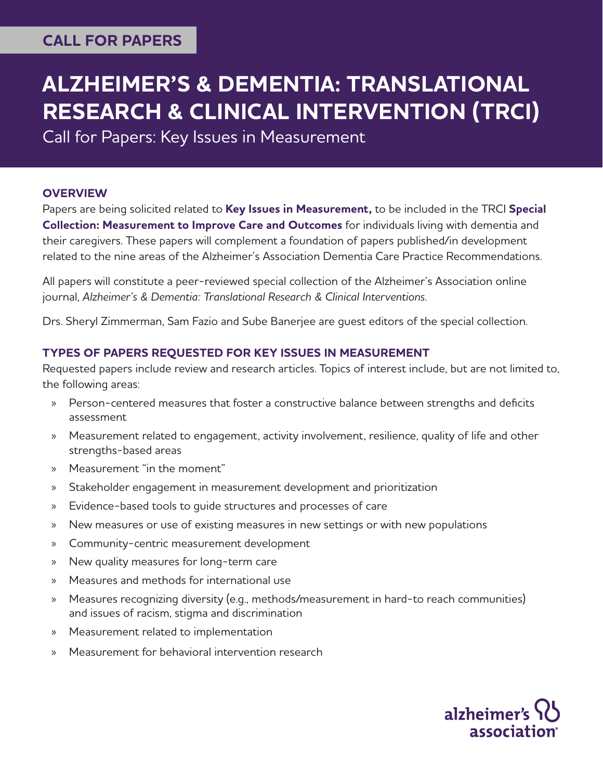# **CALL FOR PAPERS**

# **ALZHEIMER'S & DEMENTIA: TRANSLATIONAL RESEARCH & CLINICAL INTERVENTION (TRCI)**

Call for Papers: Key Issues in Measurement

### **OVERVIEW**

Papers are being solicited related to **Key Issues in Measurement,** to be included in the TRCI **Special Collection: Measurement to Improve Care and Outcomes** for individuals living with dementia and their caregivers. These papers will complement a foundation of papers published/in development related to the nine areas of the Alzheimer's Association Dementia Care Practice Recommendations.

All papers will constitute a peer-reviewed special collection of the Alzheimer's Association online journal, *Alzheimer's & Dementia: Translational Research & Clinical Interventions*.

Drs. Sheryl Zimmerman, Sam Fazio and Sube Banerjee are guest editors of the special collection.

#### **TYPES OF PAPERS REQUESTED FOR KEY ISSUES IN MEASUREMENT**

Requested papers include review and research articles. Topics of interest include, but are not limited to, the following areas:

- Person-centered measures that foster a constructive balance between strengths and deficits assessment
- » Measurement related to engagement, activity involvement, resilience, quality of life and other strengths-based areas
- » Measurement "in the moment"
- » Stakeholder engagement in measurement development and prioritization
- » Evidence-based tools to guide structures and processes of care
- » New measures or use of existing measures in new settings or with new populations
- » Community-centric measurement development
- » New quality measures for long-term care
- » Measures and methods for international use
- » Measures recognizing diversity (e.g., methods/measurement in hard-to reach communities) and issues of racism, stigma and discrimination
- » Measurement related to implementation
- » Measurement for behavioral intervention research